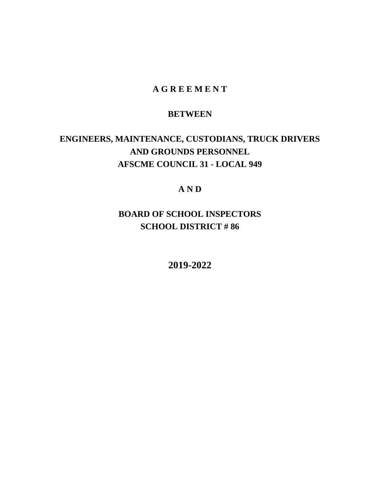# **A G R E E M E N T**

# **BETWEEN**

# **ENGINEERS, MAINTENANCE, CUSTODIANS, TRUCK DRIVERS AND GROUNDS PERSONNEL AFSCME COUNCIL 31 - LOCAL 949**

# **A N D**

# **BOARD OF SCHOOL INSPECTORS SCHOOL DISTRICT # 86**

**2019-2022**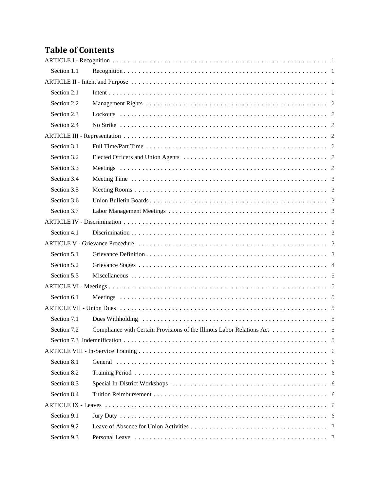# **Table of Contents**

| Section 1.1 |  |
|-------------|--|
|             |  |
| Section 2.1 |  |
| Section 2.2 |  |
| Section 2.3 |  |
| Section 2.4 |  |
|             |  |
| Section 3.1 |  |
| Section 3.2 |  |
| Section 3.3 |  |
| Section 3.4 |  |
| Section 3.5 |  |
| Section 3.6 |  |
| Section 3.7 |  |
|             |  |
| Section 4.1 |  |
|             |  |
| Section 5.1 |  |
| Section 5.2 |  |
| Section 5.3 |  |
|             |  |
| Section 6.1 |  |
|             |  |
| Section 7.1 |  |
| Section 7.2 |  |
|             |  |
|             |  |
| Section 8.1 |  |
| Section 8.2 |  |
| Section 8.3 |  |
| Section 8.4 |  |
|             |  |
| Section 9.1 |  |
| Section 9.2 |  |
| Section 9.3 |  |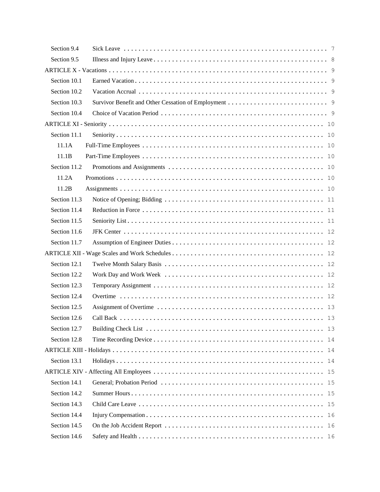| Section 9.4  |    |
|--------------|----|
| Section 9.5  |    |
|              |    |
| Section 10.1 |    |
| Section 10.2 |    |
| Section 10.3 |    |
| Section 10.4 |    |
|              |    |
| Section 11.1 |    |
| 11.1A        |    |
| 11.1B        |    |
| Section 11.2 |    |
| 11.2A        |    |
| 11.2B        |    |
| Section 11.3 |    |
| Section 11.4 |    |
| Section 11.5 |    |
| Section 11.6 |    |
| Section 11.7 |    |
|              |    |
| Section 12.1 |    |
| Section 12.2 |    |
| Section 12.3 |    |
| Section 12.4 |    |
| Section 12.5 |    |
| Section 12.6 |    |
| Section 12.7 | 13 |
| Section 12.8 | 14 |
|              | 14 |
| Section 13.1 | 14 |
|              | 15 |
| Section 14.1 | 15 |
| Section 14.2 | 15 |
| Section 14.3 | 15 |
| Section 14.4 | 16 |
| Section 14.5 | 16 |
| Section 14.6 |    |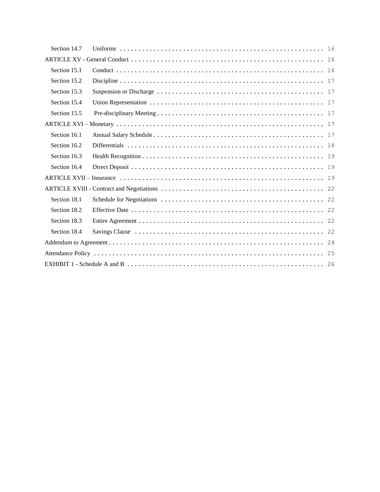| Section 14.7 |  |
|--------------|--|
|              |  |
| Section 15.1 |  |
| Section 15.2 |  |
| Section 15.3 |  |
| Section 15.4 |  |
| Section 15.5 |  |
|              |  |
| Section 16.1 |  |
| Section 16.2 |  |
| Section 16.3 |  |
| Section 16.4 |  |
|              |  |
|              |  |
| Section 18.1 |  |
| Section 18.2 |  |
| Section 18.3 |  |
| Section 18.4 |  |
|              |  |
|              |  |
|              |  |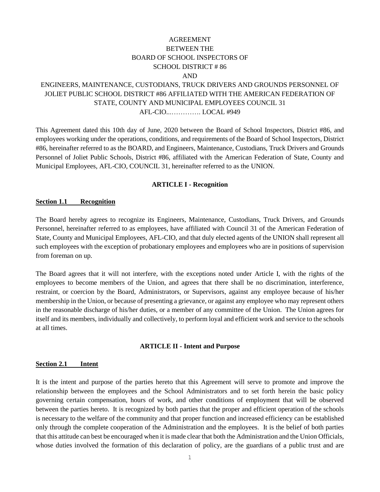# AGREEMENT BETWEEN THE BOARD OF SCHOOL INSPECTORS OF SCHOOL DISTRICT # 86 AND

# ENGINEERS, MAINTENANCE, CUSTODIANS, TRUCK DRIVERS AND GROUNDS PERSONNEL OF JOLIET PUBLIC SCHOOL DISTRICT #86 AFFILIATED WITH THE AMERICAN FEDERATION OF STATE, COUNTY AND MUNICIPAL EMPLOYEES COUNCIL 31 AFL-CIO...…………. LOCAL #949

This Agreement dated this 10th day of June, 2020 between the Board of School Inspectors, District #86, and employees working under the operations, conditions, and requirements of the Board of School Inspectors, District #86, hereinafter referred to as the BOARD, and Engineers, Maintenance, Custodians, Truck Drivers and Grounds Personnel of Joliet Public Schools, District #86, affiliated with the American Federation of State, County and Municipal Employees, AFL-CIO, COUNCIL 31, hereinafter referred to as the UNION.

#### **ARTICLE I - Recognition**

#### <span id="page-4-1"></span><span id="page-4-0"></span>**Section 1.1 Recognition**

The Board hereby agrees to recognize its Engineers, Maintenance, Custodians, Truck Drivers, and Grounds Personnel, hereinafter referred to as employees, have affiliated with Council 31 of the American Federation of State, County and Municipal Employees, AFL-CIO, and that duly elected agents of the UNION shall represent all such employees with the exception of probationary employees and employees who are in positions of supervision from foreman on up.

The Board agrees that it will not interfere, with the exceptions noted under Article I, with the rights of the employees to become members of the Union, and agrees that there shall be no discrimination, interference, restraint, or coercion by the Board, Administrators, or Supervisors, against any employee because of his/her membership in the Union, or because of presenting a grievance, or against any employee who may represent others in the reasonable discharge of his/her duties, or a member of any committee of the Union. The Union agrees for itself and its members, individually and collectively, to perform loyal and efficient work and service to the schools at all times.

#### **ARTICLE II - Intent and Purpose**

#### <span id="page-4-3"></span><span id="page-4-2"></span>**Section 2.1 Intent**

It is the intent and purpose of the parties hereto that this Agreement will serve to promote and improve the relationship between the employees and the School Administrators and to set forth herein the basic policy governing certain compensation, hours of work, and other conditions of employment that will be observed between the parties hereto. It is recognized by both parties that the proper and efficient operation of the schools is necessary to the welfare of the community and that proper function and increased efficiency can be established only through the complete cooperation of the Administration and the employees. It is the belief of both parties that this attitude can best be encouraged when it is made clear that both the Administration and the Union Officials, whose duties involved the formation of this declaration of policy, are the guardians of a public trust and are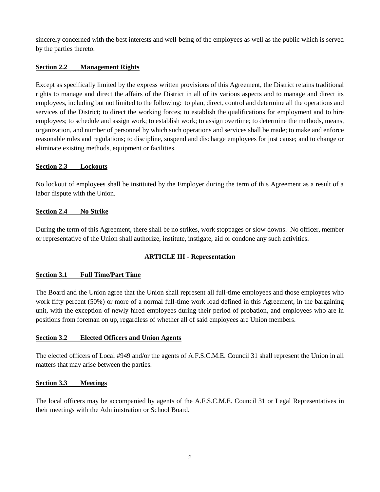sincerely concerned with the best interests and well-being of the employees as well as the public which is served by the parties thereto.

# <span id="page-5-0"></span>**Section 2.2 Management Rights**

Except as specifically limited by the express written provisions of this Agreement, the District retains traditional rights to manage and direct the affairs of the District in all of its various aspects and to manage and direct its employees, including but not limited to the following: to plan, direct, control and determine all the operations and services of the District; to direct the working forces; to establish the qualifications for employment and to hire employees; to schedule and assign work; to establish work; to assign overtime; to determine the methods, means, organization, and number of personnel by which such operations and services shall be made; to make and enforce reasonable rules and regulations; to discipline, suspend and discharge employees for just cause; and to change or eliminate existing methods, equipment or facilities.

## <span id="page-5-1"></span>**Section 2.3 Lockouts**

No lockout of employees shall be instituted by the Employer during the term of this Agreement as a result of a labor dispute with the Union.

# <span id="page-5-2"></span>**Section 2.4 No Strike**

During the term of this Agreement, there shall be no strikes, work stoppages or slow downs. No officer, member or representative of the Union shall authorize, institute, instigate, aid or condone any such activities.

# **ARTICLE III - Representation**

## <span id="page-5-4"></span><span id="page-5-3"></span>**Section 3.1 Full Time/Part Time**

The Board and the Union agree that the Union shall represent all full-time employees and those employees who work fifty percent (50%) or more of a normal full-time work load defined in this Agreement, in the bargaining unit, with the exception of newly hired employees during their period of probation, and employees who are in positions from foreman on up, regardless of whether all of said employees are Union members.

## <span id="page-5-5"></span>**Section 3.2 Elected Officers and Union Agents**

The elected officers of Local #949 and/or the agents of A.F.S.C.M.E. Council 31 shall represent the Union in all matters that may arise between the parties.

# <span id="page-5-6"></span>**Section 3.3 Meetings**

The local officers may be accompanied by agents of the A.F.S.C.M.E. Council 31 or Legal Representatives in their meetings with the Administration or School Board.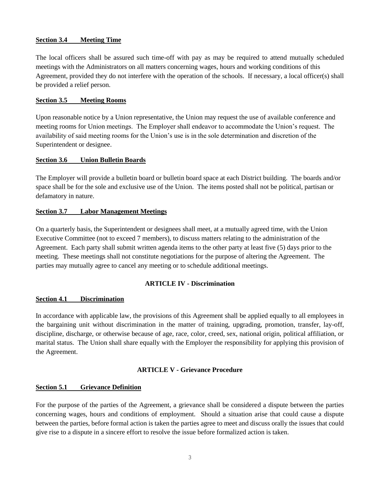#### <span id="page-6-0"></span>**Section 3.4 Meeting Time**

The local officers shall be assured such time-off with pay as may be required to attend mutually scheduled meetings with the Administrators on all matters concerning wages, hours and working conditions of this Agreement, provided they do not interfere with the operation of the schools. If necessary, a local officer(s) shall be provided a relief person.

#### <span id="page-6-1"></span>**Section 3.5 Meeting Rooms**

Upon reasonable notice by a Union representative, the Union may request the use of available conference and meeting rooms for Union meetings. The Employer shall endeavor to accommodate the Union's request. The availability of said meeting rooms for the Union's use is in the sole determination and discretion of the Superintendent or designee.

#### <span id="page-6-2"></span>**Section 3.6 Union Bulletin Boards**

The Employer will provide a bulletin board or bulletin board space at each District building. The boards and/or space shall be for the sole and exclusive use of the Union. The items posted shall not be political, partisan or defamatory in nature.

#### <span id="page-6-3"></span>**Section 3.7 Labor Management Meetings**

On a quarterly basis, the Superintendent or designees shall meet, at a mutually agreed time, with the Union Executive Committee (not to exceed 7 members), to discuss matters relating to the administration of the Agreement. Each party shall submit written agenda items to the other party at least five (5) days prior to the meeting. These meetings shall not constitute negotiations for the purpose of altering the Agreement. The parties may mutually agree to cancel any meeting or to schedule additional meetings.

## **ARTICLE IV - Discrimination**

## <span id="page-6-5"></span><span id="page-6-4"></span>**Section 4.1 Discrimination**

In accordance with applicable law, the provisions of this Agreement shall be applied equally to all employees in the bargaining unit without discrimination in the matter of training, upgrading, promotion, transfer, lay-off, discipline, discharge, or otherwise because of age, race, color, creed, sex, national origin, political affiliation, or marital status. The Union shall share equally with the Employer the responsibility for applying this provision of the Agreement.

#### **ARTICLE V - Grievance Procedure**

#### <span id="page-6-7"></span><span id="page-6-6"></span>**Section 5.1 Grievance Definition**

For the purpose of the parties of the Agreement, a grievance shall be considered a dispute between the parties concerning wages, hours and conditions of employment. Should a situation arise that could cause a dispute between the parties, before formal action is taken the parties agree to meet and discuss orally the issues that could give rise to a dispute in a sincere effort to resolve the issue before formalized action is taken.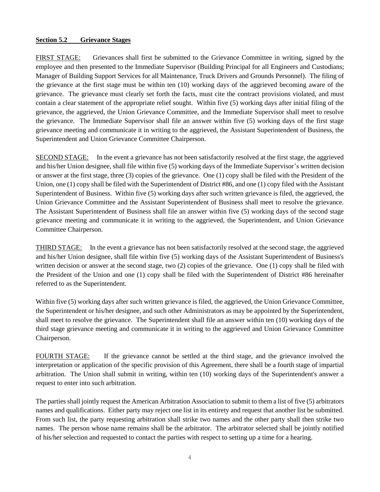#### <span id="page-7-0"></span>**Section 5.2 Grievance Stages**

FIRST STAGE: Grievances shall first be submitted to the Grievance Committee in writing, signed by the employee and then presented to the Immediate Supervisor (Building Principal for all Engineers and Custodians; Manager of Building Support Services for all Maintenance, Truck Drivers and Grounds Personnel). The filing of the grievance at the first stage must be within ten (10) working days of the aggrieved becoming aware of the grievance. The grievance must clearly set forth the facts, must cite the contract provisions violated, and must contain a clear statement of the appropriate relief sought. Within five (5) working days after initial filing of the grievance, the aggrieved, the Union Grievance Committee, and the Immediate Supervisor shall meet to resolve the grievance. The Immediate Supervisor shall file an answer within five (5) working days of the first stage grievance meeting and communicate it in writing to the aggrieved, the Assistant Superintendent of Business, the Superintendent and Union Grievance Committee Chairperson.

SECOND STAGE: In the event a grievance has not been satisfactorily resolved at the first stage, the aggrieved and his/her Union designee, shall file within five (5) working days of the Immediate Supervisor's written decision or answer at the first stage, three (3) copies of the grievance. One (1) copy shall be filed with the President of the Union, one (1) copy shall be filed with the Superintendent of District #86, and one (1) copy filed with the Assistant Superintendent of Business. Within five (5) working days after such written grievance is filed, the aggrieved, the Union Grievance Committee and the Assistant Superintendent of Business shall meet to resolve the grievance. The Assistant Superintendent of Business shall file an answer within five (5) working days of the second stage grievance meeting and communicate it in writing to the aggrieved, the Superintendent, and Union Grievance Committee Chairperson.

THIRD STAGE: In the event a grievance has not been satisfactorily resolved at the second stage, the aggrieved and his/her Union designee, shall file within five (5) working days of the Assistant Superintendent of Business's written decision or answer at the second stage, two (2) copies of the grievance. One (1) copy shall be filed with the President of the Union and one (1) copy shall be filed with the Superintendent of District #86 hereinafter referred to as the Superintendent.

Within five (5) working days after such written grievance is filed, the aggrieved, the Union Grievance Committee, the Superintendent or his/her designee, and such other Administrators as may be appointed by the Superintendent, shall meet to resolve the grievance. The Superintendent shall file an answer within ten (10) working days of the third stage grievance meeting and communicate it in writing to the aggrieved and Union Grievance Committee Chairperson.

FOURTH STAGE: If the grievance cannot be settled at the third stage, and the grievance involved the interpretation or application of the specific provision of this Agreement, there shall be a fourth stage of impartial arbitration. The Union shall submit in writing, within ten (10) working days of the Superintendent's answer a request to enter into such arbitration.

The parties shall jointly request the American Arbitration Association to submit to them a list of five (5) arbitrators names and qualifications. Either party may reject one list in its entirety and request that another list be submitted. From such list, the party requesting arbitration shall strike two names and the other party shall then strike two names. The person whose name remains shall be the arbitrator. The arbitrator selected shall be jointly notified of his/her selection and requested to contact the parties with respect to setting up a time for a hearing.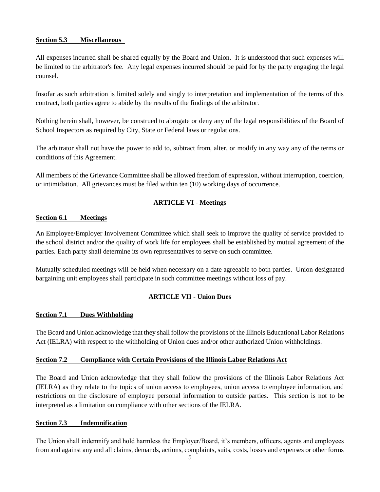## <span id="page-8-0"></span>**Section 5.3 Miscellaneous**

All expenses incurred shall be shared equally by the Board and Union. It is understood that such expenses will be limited to the arbitrator's fee. Any legal expenses incurred should be paid for by the party engaging the legal counsel.

Insofar as such arbitration is limited solely and singly to interpretation and implementation of the terms of this contract, both parties agree to abide by the results of the findings of the arbitrator.

Nothing herein shall, however, be construed to abrogate or deny any of the legal responsibilities of the Board of School Inspectors as required by City, State or Federal laws or regulations.

The arbitrator shall not have the power to add to, subtract from, alter, or modify in any way any of the terms or conditions of this Agreement.

All members of the Grievance Committee shall be allowed freedom of expression, without interruption, coercion, or intimidation. All grievances must be filed within ten (10) working days of occurrence.

# **ARTICLE VI - Meetings**

## <span id="page-8-2"></span><span id="page-8-1"></span>**Section 6.1 Meetings**

An Employee/Employer Involvement Committee which shall seek to improve the quality of service provided to the school district and/or the quality of work life for employees shall be established by mutual agreement of the parties. Each party shall determine its own representatives to serve on such committee.

Mutually scheduled meetings will be held when necessary on a date agreeable to both parties. Union designated bargaining unit employees shall participate in such committee meetings without loss of pay.

# **ARTICLE VII - Union Dues**

## <span id="page-8-4"></span><span id="page-8-3"></span>**Section 7.1 Dues Withholding**

The Board and Union acknowledge that they shall follow the provisions of the Illinois Educational Labor Relations Act (IELRA) with respect to the withholding of Union dues and/or other authorized Union withholdings.

## <span id="page-8-5"></span>**Section 7.2 Compliance with Certain Provisions of the Illinois Labor Relations Act**

The Board and Union acknowledge that they shall follow the provisions of the Illinois Labor Relations Act (IELRA) as they relate to the topics of union access to employees, union access to employee information, and restrictions on the disclosure of employee personal information to outside parties. This section is not to be interpreted as a limitation on compliance with other sections of the IELRA.

## <span id="page-8-6"></span>**Section 7.3 Indemnification**

The Union shall indemnify and hold harmless the Employer/Board, it's members, officers, agents and employees from and against any and all claims, demands, actions, complaints, suits, costs, losses and expenses or other forms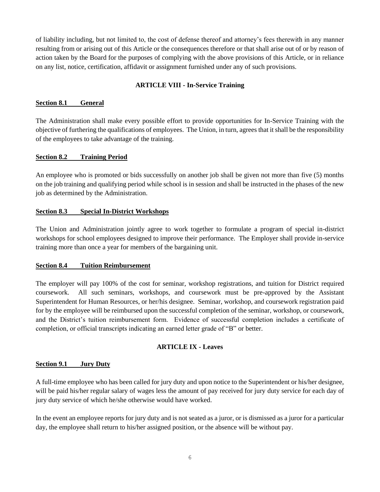of liability including, but not limited to, the cost of defense thereof and attorney's fees therewith in any manner resulting from or arising out of this Article or the consequences therefore or that shall arise out of or by reason of action taken by the Board for the purposes of complying with the above provisions of this Article, or in reliance on any list, notice, certification, affidavit or assignment furnished under any of such provisions.

# **ARTICLE VIII - In-Service Training**

# <span id="page-9-1"></span><span id="page-9-0"></span>**Section 8.1 General**

The Administration shall make every possible effort to provide opportunities for In-Service Training with the objective of furthering the qualifications of employees. The Union, in turn, agrees that it shall be the responsibility of the employees to take advantage of the training.

# <span id="page-9-2"></span>**Section 8.2 Training Period**

An employee who is promoted or bids successfully on another job shall be given not more than five (5) months on the job training and qualifying period while school is in session and shall be instructed in the phases of the new job as determined by the Administration.

# <span id="page-9-3"></span>**Section 8.3 Special In-District Workshops**

The Union and Administration jointly agree to work together to formulate a program of special in-district workshops for school employees designed to improve their performance. The Employer shall provide in-service training more than once a year for members of the bargaining unit.

## <span id="page-9-4"></span>**Section 8.4 Tuition Reimbursement**

The employer will pay 100% of the cost for seminar, workshop registrations, and tuition for District required coursework. All such seminars, workshops, and coursework must be pre-approved by the Assistant Superintendent for Human Resources, or her/his designee. Seminar, workshop, and coursework registration paid for by the employee will be reimbursed upon the successful completion of the seminar, workshop, or coursework, and the District's tuition reimbursement form. Evidence of successful completion includes a certificate of completion, or official transcripts indicating an earned letter grade of "B" or better.

# **ARTICLE IX - Leaves**

## <span id="page-9-6"></span><span id="page-9-5"></span>**Section 9.1 Jury Duty**

A full-time employee who has been called for jury duty and upon notice to the Superintendent or his/her designee, will be paid his/her regular salary of wages less the amount of pay received for jury duty service for each day of jury duty service of which he/she otherwise would have worked.

In the event an employee reports for jury duty and is not seated as a juror, or is dismissed as a juror for a particular day, the employee shall return to his/her assigned position, or the absence will be without pay.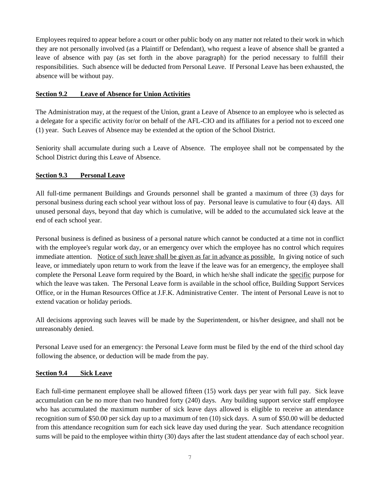Employees required to appear before a court or other public body on any matter not related to their work in which they are not personally involved (as a Plaintiff or Defendant), who request a leave of absence shall be granted a leave of absence with pay (as set forth in the above paragraph) for the period necessary to fulfill their responsibilities. Such absence will be deducted from Personal Leave. If Personal Leave has been exhausted, the absence will be without pay.

# <span id="page-10-0"></span>**Section 9.2 Leave of Absence for Union Activities**

The Administration may, at the request of the Union, grant a Leave of Absence to an employee who is selected as a delegate for a specific activity for/or on behalf of the AFL-CIO and its affiliates for a period not to exceed one (1) year. Such Leaves of Absence may be extended at the option of the School District.

Seniority shall accumulate during such a Leave of Absence. The employee shall not be compensated by the School District during this Leave of Absence.

# <span id="page-10-1"></span>**Section 9.3 Personal Leave**

All full-time permanent Buildings and Grounds personnel shall be granted a maximum of three (3) days for personal business during each school year without loss of pay. Personal leave is cumulative to four (4) days. All unused personal days, beyond that day which is cumulative, will be added to the accumulated sick leave at the end of each school year.

Personal business is defined as business of a personal nature which cannot be conducted at a time not in conflict with the employee's regular work day, or an emergency over which the employee has no control which requires immediate attention. Notice of such leave shall be given as far in advance as possible. In giving notice of such leave, or immediately upon return to work from the leave if the leave was for an emergency, the employee shall complete the Personal Leave form required by the Board, in which he/she shall indicate the specific purpose for which the leave was taken. The Personal Leave form is available in the school office, Building Support Services Office, or in the Human Resources Office at J.F.K. Administrative Center. The intent of Personal Leave is not to extend vacation or holiday periods.

All decisions approving such leaves will be made by the Superintendent, or his/her designee, and shall not be unreasonably denied.

Personal Leave used for an emergency: the Personal Leave form must be filed by the end of the third school day following the absence, or deduction will be made from the pay.

## <span id="page-10-2"></span>**Section 9.4 Sick Leave**

Each full-time permanent employee shall be allowed fifteen (15) work days per year with full pay. Sick leave accumulation can be no more than two hundred forty (240) days. Any building support service staff employee who has accumulated the maximum number of sick leave days allowed is eligible to receive an attendance recognition sum of \$50.00 per sick day up to a maximum of ten (10) sick days. A sum of \$50.00 will be deducted from this attendance recognition sum for each sick leave day used during the year. Such attendance recognition sums will be paid to the employee within thirty (30) days after the last student attendance day of each school year.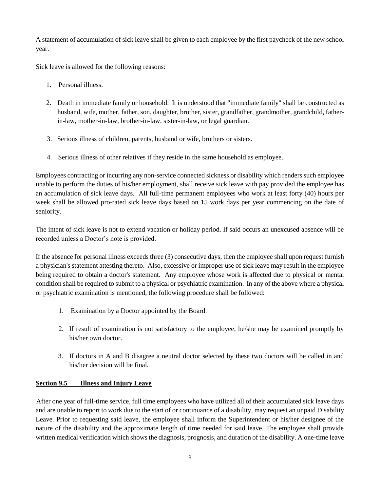A statement of accumulation of sick leave shall be given to each employee by the first paycheck of the new school year.

Sick leave is allowed for the following reasons:

- 1. Personal illness.
- 2. Death in immediate family or household. It is understood that "immediate family" shall be constructed as husband, wife, mother, father, son, daughter, brother, sister, grandfather, grandmother, grandchild, fatherin-law, mother-in-law, brother-in-law, sister-in-law, or legal guardian.
- 3. Serious illness of children, parents, husband or wife, brothers or sisters.
- 4. Serious illness of other relatives if they reside in the same household as employee.

Employees contracting or incurring any non-service connected sickness or disability which renders such employee unable to perform the duties of his/her employment, shall receive sick leave with pay provided the employee has an accumulation of sick leave days. All full-time permanent employees who work at least forty (40) hours per week shall be allowed pro-rated sick leave days based on 15 work days per year commencing on the date of seniority.

The intent of sick leave is not to extend vacation or holiday period. If said occurs an unexcused absence will be recorded unless a Doctor's note is provided.

If the absence for personal illness exceeds three (3) consecutive days, then the employee shall upon request furnish a physician's statement attesting thereto. Also, excessive or improper use of sick leave may result in the employee being required to obtain a doctor's statement. Any employee whose work is affected due to physical or mental condition shall be required to submit to a physical or psychiatric examination. In any of the above where a physical or psychiatric examination is mentioned, the following procedure shall be followed:

- 1. Examination by a Doctor appointed by the Board.
- 2. If result of examination is not satisfactory to the employee, he/she may be examined promptly by his/her own doctor.
- 3. If doctors in A and B disagree a neutral doctor selected by these two doctors will be called in and his/her decision will be final.

## <span id="page-11-0"></span>**Section 9.5 Illness and Injury Leave**

After one year of full-time service, full time employees who have utilized all of their accumulated sick leave days and are unable to report to work due to the start of or continuance of a disability, may request an unpaid Disability Leave. Prior to requesting said leave, the employee shall inform the Superintendent or his/her designee of the nature of the disability and the approximate length of time needed for said leave. The employee shall provide written medical verification which shows the diagnosis, prognosis, and duration of the disability. A one-time leave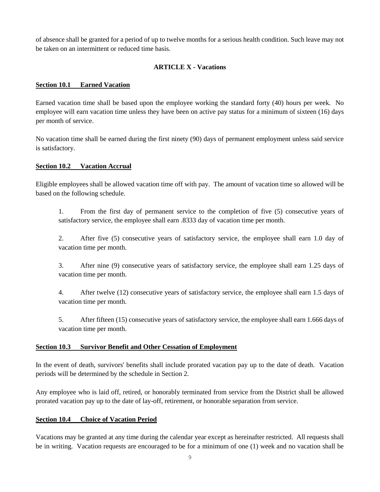of absence shall be granted for a period of up to twelve months for a serious health condition. Such leave may not be taken on an intermittent or reduced time basis.

# **ARTICLE X - Vacations**

## <span id="page-12-1"></span><span id="page-12-0"></span>**Section 10.1 Earned Vacation**

Earned vacation time shall be based upon the employee working the standard forty (40) hours per week. No employee will earn vacation time unless they have been on active pay status for a minimum of sixteen (16) days per month of service.

No vacation time shall be earned during the first ninety (90) days of permanent employment unless said service is satisfactory.

# <span id="page-12-2"></span>**Section 10.2 Vacation Accrual**

Eligible employees shall be allowed vacation time off with pay. The amount of vacation time so allowed will be based on the following schedule.

1. From the first day of permanent service to the completion of five (5) consecutive years of satisfactory service, the employee shall earn .8333 day of vacation time per month.

2. After five (5) consecutive years of satisfactory service, the employee shall earn 1.0 day of vacation time per month.

3. After nine (9) consecutive years of satisfactory service, the employee shall earn 1.25 days of vacation time per month.

4. After twelve (12) consecutive years of satisfactory service, the employee shall earn 1.5 days of vacation time per month.

5. After fifteen (15) consecutive years of satisfactory service, the employee shall earn 1.666 days of vacation time per month.

## <span id="page-12-3"></span>**Section 10.3 Survivor Benefit and Other Cessation of Employment**

In the event of death, survivors' benefits shall include prorated vacation pay up to the date of death. Vacation periods will be determined by the schedule in Section 2.

Any employee who is laid off, retired, or honorably terminated from service from the District shall be allowed prorated vacation pay up to the date of lay-off, retirement, or honorable separation from service.

## <span id="page-12-4"></span>**Section 10.4 Choice of Vacation Period**

Vacations may be granted at any time during the calendar year except as hereinafter restricted. All requests shall be in writing. Vacation requests are encouraged to be for a minimum of one (1) week and no vacation shall be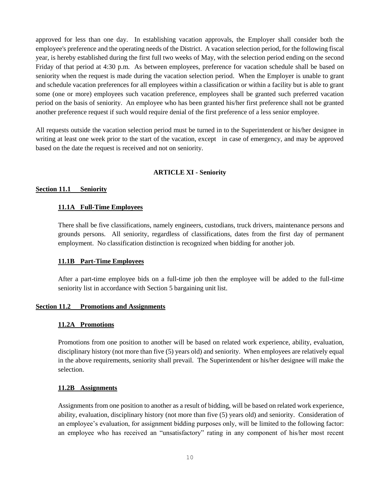approved for less than one day. In establishing vacation approvals, the Employer shall consider both the employee's preference and the operating needs of the District. A vacation selection period, for the following fiscal year, is hereby established during the first full two weeks of May, with the selection period ending on the second Friday of that period at 4:30 p.m. As between employees, preference for vacation schedule shall be based on seniority when the request is made during the vacation selection period. When the Employer is unable to grant and schedule vacation preferences for all employees within a classification or within a facility but is able to grant some (one or more) employees such vacation preference, employees shall be granted such preferred vacation period on the basis of seniority. An employee who has been granted his/her first preference shall not be granted another preference request if such would require denial of the first preference of a less senior employee.

<span id="page-13-0"></span>All requests outside the vacation selection period must be turned in to the Superintendent or his/her designee in writing at least one week prior to the start of the vacation, except in case of emergency, and may be approved based on the date the request is received and not on seniority.

# **ARTICLE XI - Seniority**

## <span id="page-13-1"></span>**Section 11.1 Seniority**

# <span id="page-13-2"></span>**11.1A Full-Time Employees**

There shall be five classifications, namely engineers, custodians, truck drivers, maintenance persons and grounds persons. All seniority, regardless of classifications, dates from the first day of permanent employment. No classification distinction is recognized when bidding for another job.

## <span id="page-13-3"></span>**11.1B Part-Time Employees**

After a part-time employee bids on a full-time job then the employee will be added to the full-time seniority list in accordance with Section 5 bargaining unit list.

## <span id="page-13-5"></span><span id="page-13-4"></span>**Section 11.2 Promotions and Assignments**

## **11.2A Promotions**

Promotions from one position to another will be based on related work experience, ability, evaluation, disciplinary history (not more than five (5) years old) and seniority. When employees are relatively equal in the above requirements, seniority shall prevail. The Superintendent or his/her designee will make the selection.

## <span id="page-13-6"></span>**11.2B Assignments**

Assignments from one position to another as a result of bidding, will be based on related work experience, ability, evaluation, disciplinary history (not more than five (5) years old) and seniority. Consideration of an employee's evaluation, for assignment bidding purposes only, will be limited to the following factor: an employee who has received an "unsatisfactory" rating in any component of his/her most recent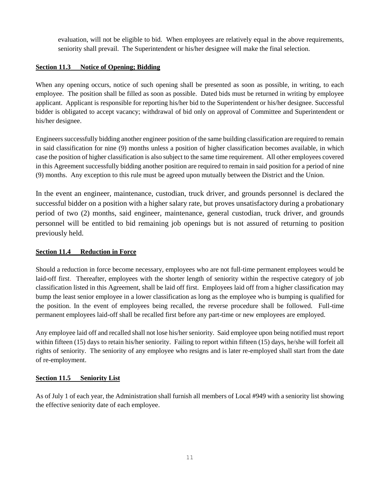evaluation, will not be eligible to bid. When employees are relatively equal in the above requirements, seniority shall prevail. The Superintendent or his/her designee will make the final selection.

# <span id="page-14-0"></span>**Section 11.3 Notice of Opening; Bidding**

When any opening occurs, notice of such opening shall be presented as soon as possible, in writing, to each employee. The position shall be filled as soon as possible. Dated bids must be returned in writing by employee applicant. Applicant is responsible for reporting his/her bid to the Superintendent or his/her designee. Successful bidder is obligated to accept vacancy; withdrawal of bid only on approval of Committee and Superintendent or his/her designee.

Engineers successfully bidding another engineer position of the same building classification are required to remain in said classification for nine (9) months unless a position of higher classification becomes available, in which case the position of higher classification is also subject to the same time requirement. All other employees covered in this Agreement successfully bidding another position are required to remain in said position for a period of nine (9) months. Any exception to this rule must be agreed upon mutually between the District and the Union.

In the event an engineer, maintenance, custodian, truck driver, and grounds personnel is declared the successful bidder on a position with a higher salary rate, but proves unsatisfactory during a probationary period of two (2) months, said engineer, maintenance, general custodian, truck driver, and grounds personnel will be entitled to bid remaining job openings but is not assured of returning to position previously held.

# <span id="page-14-1"></span>**Section 11.4 Reduction in Force**

Should a reduction in force become necessary, employees who are not full-time permanent employees would be laid-off first. Thereafter, employees with the shorter length of seniority within the respective category of job classification listed in this Agreement, shall be laid off first. Employees laid off from a higher classification may bump the least senior employee in a lower classification as long as the employee who is bumping is qualified for the position. In the event of employees being recalled, the reverse procedure shall be followed. Full-time permanent employees laid-off shall be recalled first before any part-time or new employees are employed.

Any employee laid off and recalled shall not lose his/her seniority. Said employee upon being notified must report within fifteen (15) days to retain his/her seniority. Failing to report within fifteen (15) days, he/she will forfeit all rights of seniority. The seniority of any employee who resigns and is later re-employed shall start from the date of re-employment.

# <span id="page-14-2"></span>**Section 11.5 Seniority List**

As of July 1 of each year, the Administration shall furnish all members of Local #949 with a seniority list showing the effective seniority date of each employee.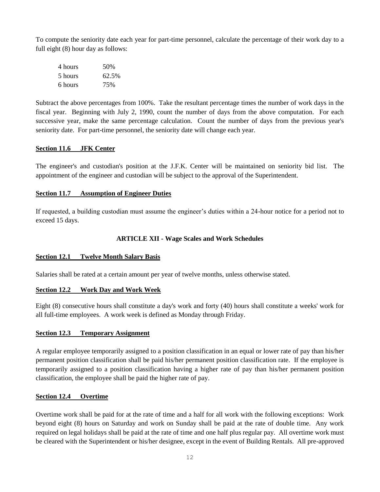To compute the seniority date each year for part-time personnel, calculate the percentage of their work day to a full eight (8) hour day as follows:

| 4 hours | 50%   |
|---------|-------|
| 5 hours | 62.5% |
| 6 hours | 75%   |

Subtract the above percentages from 100%. Take the resultant percentage times the number of work days in the fiscal year. Beginning with July 2, 1990, count the number of days from the above computation. For each successive year, make the same percentage calculation. Count the number of days from the previous year's seniority date. For part-time personnel, the seniority date will change each year.

# <span id="page-15-0"></span>**Section 11.6 JFK Center**

The engineer's and custodian's position at the J.F.K. Center will be maintained on seniority bid list. The appointment of the engineer and custodian will be subject to the approval of the Superintendent.

# <span id="page-15-1"></span>**Section 11.7 Assumption of Engineer Duties**

If requested, a building custodian must assume the engineer's duties within a 24-hour notice for a period not to exceed 15 days.

# **ARTICLE XII - Wage Scales and Work Schedules**

## <span id="page-15-3"></span><span id="page-15-2"></span>**Section 12.1 Twelve Month Salary Basis**

Salaries shall be rated at a certain amount per year of twelve months, unless otherwise stated.

## <span id="page-15-4"></span>**Section 12.2 Work Day and Work Week**

Eight (8) consecutive hours shall constitute a day's work and forty (40) hours shall constitute a weeks' work for all full-time employees. A work week is defined as Monday through Friday.

## <span id="page-15-5"></span>**Section 12.3 Temporary Assignment**

A regular employee temporarily assigned to a position classification in an equal or lower rate of pay than his/her permanent position classification shall be paid his/her permanent position classification rate. If the employee is temporarily assigned to a position classification having a higher rate of pay than his/her permanent position classification, the employee shall be paid the higher rate of pay.

## <span id="page-15-6"></span>**Section 12.4 Overtime**

Overtime work shall be paid for at the rate of time and a half for all work with the following exceptions: Work beyond eight (8) hours on Saturday and work on Sunday shall be paid at the rate of double time. Any work required on legal holidays shall be paid at the rate of time and one half plus regular pay. All overtime work must be cleared with the Superintendent or his/her designee, except in the event of Building Rentals. All pre-approved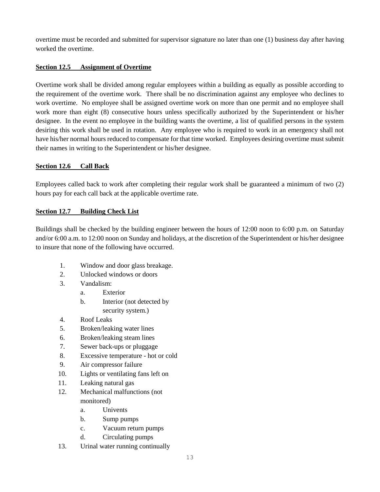overtime must be recorded and submitted for supervisor signature no later than one (1) business day after having worked the overtime.

# <span id="page-16-0"></span>**Section 12.5 Assignment of Overtime**

Overtime work shall be divided among regular employees within a building as equally as possible according to the requirement of the overtime work. There shall be no discrimination against any employee who declines to work overtime. No employee shall be assigned overtime work on more than one permit and no employee shall work more than eight (8) consecutive hours unless specifically authorized by the Superintendent or his/her designee. In the event no employee in the building wants the overtime, a list of qualified persons in the system desiring this work shall be used in rotation. Any employee who is required to work in an emergency shall not have his/her normal hours reduced to compensate for that time worked. Employees desiring overtime must submit their names in writing to the Superintendent or his/her designee.

# <span id="page-16-1"></span>**Section 12.6 Call Back**

Employees called back to work after completing their regular work shall be guaranteed a minimum of two (2) hours pay for each call back at the applicable overtime rate.

# <span id="page-16-2"></span>**Section 12.7 Building Check List**

Buildings shall be checked by the building engineer between the hours of 12:00 noon to 6:00 p.m. on Saturday and/or 6:00 a.m. to 12:00 noon on Sunday and holidays, at the discretion of the Superintendent or his/her designee to insure that none of the following have occurred.

- 1. Window and door glass breakage.
- 2. Unlocked windows or doors
- 3. Vandalism:
	- a. Exterior
	- b. Interior (not detected by security system.)
- 4. Roof Leaks
- 5. Broken/leaking water lines
- 6. Broken/leaking steam lines
- 7. Sewer back-ups or pluggage
- 8. Excessive temperature hot or cold
- 9. Air compressor failure
- 10. Lights or ventilating fans left on
- 11. Leaking natural gas
- 12. Mechanical malfunctions (not monitored)
	- a. Univents
	- b. Sump pumps
	- c. Vacuum return pumps
	- d. Circulating pumps
- 13. Urinal water running continually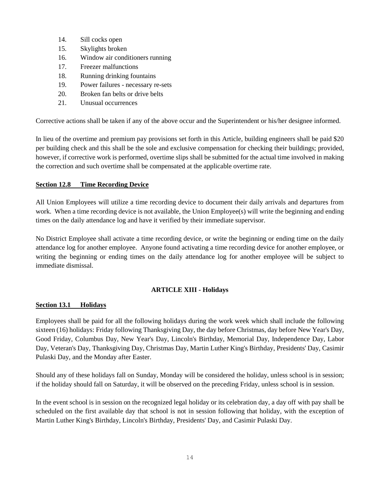- 14. Sill cocks open
- 15. Skylights broken
- 16. Window air conditioners running
- 17. Freezer malfunctions
- 18. Running drinking fountains
- 19. Power failures necessary re-sets
- 20. Broken fan belts or drive belts
- 21. Unusual occurrences

Corrective actions shall be taken if any of the above occur and the Superintendent or his/her designee informed.

In lieu of the overtime and premium pay provisions set forth in this Article, building engineers shall be paid \$20 per building check and this shall be the sole and exclusive compensation for checking their buildings; provided, however, if corrective work is performed, overtime slips shall be submitted for the actual time involved in making the correction and such overtime shall be compensated at the applicable overtime rate.

## <span id="page-17-0"></span>**Section 12.8 Time Recording Device**

All Union Employees will utilize a time recording device to document their daily arrivals and departures from work. When a time recording device is not available, the Union Employee(s) will write the beginning and ending times on the daily attendance log and have it verified by their immediate supervisor.

No District Employee shall activate a time recording device, or write the beginning or ending time on the daily attendance log for another employee. Anyone found activating a time recording device for another employee, or writing the beginning or ending times on the daily attendance log for another employee will be subject to immediate dismissal.

## **ARTICLE XIII - Holidays**

## <span id="page-17-2"></span><span id="page-17-1"></span>**Section 13.1 Holidays**

Employees shall be paid for all the following holidays during the work week which shall include the following sixteen (16) holidays: Friday following Thanksgiving Day, the day before Christmas, day before New Year's Day, Good Friday, Columbus Day, New Year's Day, Lincoln's Birthday, Memorial Day, Independence Day, Labor Day, Veteran's Day, Thanksgiving Day, Christmas Day, Martin Luther King's Birthday, Presidents' Day, Casimir Pulaski Day, and the Monday after Easter.

Should any of these holidays fall on Sunday, Monday will be considered the holiday, unless school is in session; if the holiday should fall on Saturday, it will be observed on the preceding Friday, unless school is in session.

In the event school is in session on the recognized legal holiday or its celebration day, a day off with pay shall be scheduled on the first available day that school is not in session following that holiday, with the exception of Martin Luther King's Birthday, Lincoln's Birthday, Presidents' Day, and Casimir Pulaski Day.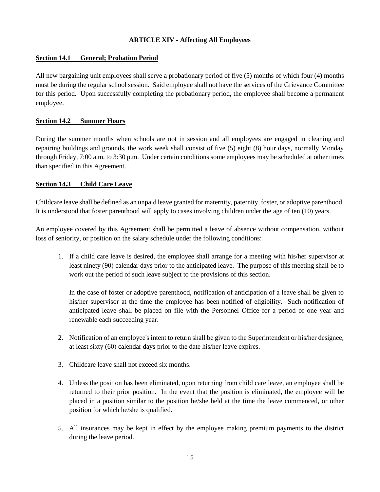# **ARTICLE XIV - Affecting All Employees**

# <span id="page-18-1"></span><span id="page-18-0"></span>**Section 14.1 General; Probation Period**

All new bargaining unit employees shall serve a probationary period of five (5) months of which four (4) months must be during the regular school session. Said employee shall not have the services of the Grievance Committee for this period. Upon successfully completing the probationary period, the employee shall become a permanent employee.

# <span id="page-18-2"></span>**Section 14.2 Summer Hours**

During the summer months when schools are not in session and all employees are engaged in cleaning and repairing buildings and grounds, the work week shall consist of five (5) eight (8) hour days, normally Monday through Friday, 7:00 a.m. to 3:30 p.m. Under certain conditions some employees may be scheduled at other times than specified in this Agreement.

# <span id="page-18-3"></span>**Section 14.3 Child Care Leave**

Childcare leave shall be defined as an unpaid leave granted for maternity, paternity, foster, or adoptive parenthood. It is understood that foster parenthood will apply to cases involving children under the age of ten (10) years.

An employee covered by this Agreement shall be permitted a leave of absence without compensation, without loss of seniority, or position on the salary schedule under the following conditions:

1. If a child care leave is desired, the employee shall arrange for a meeting with his/her supervisor at least ninety (90) calendar days prior to the anticipated leave. The purpose of this meeting shall be to work out the period of such leave subject to the provisions of this section.

In the case of foster or adoptive parenthood, notification of anticipation of a leave shall be given to his/her supervisor at the time the employee has been notified of eligibility. Such notification of anticipated leave shall be placed on file with the Personnel Office for a period of one year and renewable each succeeding year.

- 2. Notification of an employee's intent to return shall be given to the Superintendent or his/her designee, at least sixty (60) calendar days prior to the date his/her leave expires.
- 3. Childcare leave shall not exceed six months.
- 4. Unless the position has been eliminated, upon returning from child care leave, an employee shall be returned to their prior position. In the event that the position is eliminated, the employee will be placed in a position similar to the position he/she held at the time the leave commenced, or other position for which he/she is qualified.
- 5. All insurances may be kept in effect by the employee making premium payments to the district during the leave period.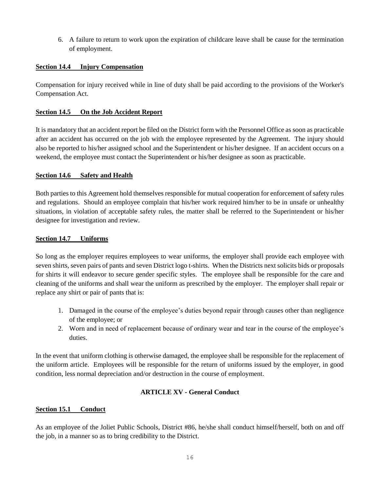6. A failure to return to work upon the expiration of childcare leave shall be cause for the termination of employment.

# <span id="page-19-0"></span>**Section 14.4 Injury Compensation**

Compensation for injury received while in line of duty shall be paid according to the provisions of the Worker's Compensation Act.

# <span id="page-19-1"></span>**Section 14.5 On the Job Accident Report**

It is mandatory that an accident report be filed on the District form with the Personnel Office as soon as practicable after an accident has occurred on the job with the employee represented by the Agreement. The injury should also be reported to his/her assigned school and the Superintendent or his/her designee. If an accident occurs on a weekend, the employee must contact the Superintendent or his/her designee as soon as practicable.

## <span id="page-19-2"></span>**Section 14.6 Safety and Health**

Both parties to this Agreement hold themselves responsible for mutual cooperation for enforcement of safety rules and regulations. Should an employee complain that his/her work required him/her to be in unsafe or unhealthy situations, in violation of acceptable safety rules, the matter shall be referred to the Superintendent or his/her designee for investigation and review.

# <span id="page-19-3"></span>**Section 14.7 Uniforms**

So long as the employer requires employees to wear uniforms, the employer shall provide each employee with seven shirts, seven pairs of pants and seven District logo t-shirts. When the Districts next solicits bids or proposals for shirts it will endeavor to secure gender specific styles.The employee shall be responsible for the care and cleaning of the uniforms and shall wear the uniform as prescribed by the employer. The employer shall repair or replace any shirt or pair of pants that is:

- 1. Damaged in the course of the employee's duties beyond repair through causes other than negligence of the employee; or
- 2. Worn and in need of replacement because of ordinary wear and tear in the course of the employee's duties.

In the event that uniform clothing is otherwise damaged, the employee shall be responsible for the replacement of the uniform article. Employees will be responsible for the return of uniforms issued by the employer, in good condition, less normal depreciation and/or destruction in the course of employment.

# **ARTICLE XV - General Conduct**

## <span id="page-19-5"></span><span id="page-19-4"></span>**Section 15.1 Conduct**

As an employee of the Joliet Public Schools, District #86, he/she shall conduct himself/herself, both on and off the job, in a manner so as to bring credibility to the District.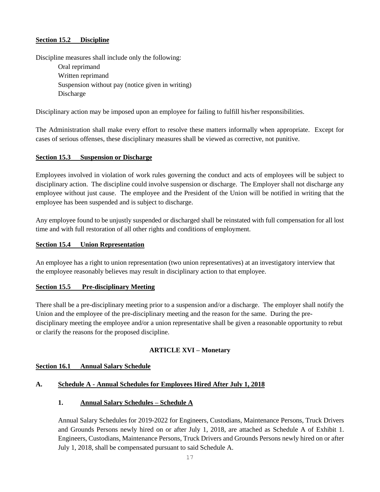# <span id="page-20-0"></span>**Section 15.2 Discipline**

Discipline measures shall include only the following:

Oral reprimand Written reprimand Suspension without pay (notice given in writing) Discharge

Disciplinary action may be imposed upon an employee for failing to fulfill his/her responsibilities.

The Administration shall make every effort to resolve these matters informally when appropriate. Except for cases of serious offenses, these disciplinary measures shall be viewed as corrective, not punitive.

# <span id="page-20-1"></span>**Section 15.3 Suspension or Discharge**

Employees involved in violation of work rules governing the conduct and acts of employees will be subject to disciplinary action. The discipline could involve suspension or discharge. The Employer shall not discharge any employee without just cause. The employee and the President of the Union will be notified in writing that the employee has been suspended and is subject to discharge.

Any employee found to be unjustly suspended or discharged shall be reinstated with full compensation for all lost time and with full restoration of all other rights and conditions of employment.

#### <span id="page-20-2"></span>**Section 15.4 Union Representation**

An employee has a right to union representation (two union representatives) at an investigatory interview that the employee reasonably believes may result in disciplinary action to that employee.

## <span id="page-20-3"></span>**Section 15.5 Pre-disciplinary Meeting**

There shall be a pre-disciplinary meeting prior to a suspension and/or a discharge. The employer shall notify the Union and the employee of the pre-disciplinary meeting and the reason for the same. During the predisciplinary meeting the employee and/or a union representative shall be given a reasonable opportunity to rebut or clarify the reasons for the proposed discipline.

# **ARTICLE XVI – Monetary**

## <span id="page-20-5"></span><span id="page-20-4"></span>**Section 16.1 Annual Salary Schedule**

## **A. Schedule A - Annual Schedules for Employees Hired After July 1, 2018**

## **1. Annual Salary Schedules – Schedule A**

Annual Salary Schedules for 2019-2022 for Engineers, Custodians, Maintenance Persons, Truck Drivers and Grounds Persons newly hired on or after July 1, 2018, are attached as Schedule A of Exhibit 1. Engineers, Custodians, Maintenance Persons, Truck Drivers and Grounds Persons newly hired on or after July 1, 2018, shall be compensated pursuant to said Schedule A.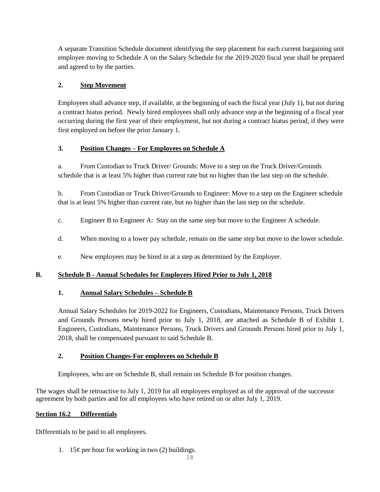A separate Transition Schedule document identifying the step placement for each current bargaining unit employee moving to Schedule A on the Salary Schedule for the 2019-2020 fiscal year shall be prepared and agreed to by the parties.

# **2. Step Movement**

Employees shall advance step, if available, at the beginning of each the fiscal year (July 1), but not during a contract hiatus period. Newly hired employees shall only advance step at the beginning of a fiscal year occurring during the first year of their employment, but not during a contract hiatus period, if they were first employed on before the prior January 1.

# **3. Position Changes – For Employees on Schedule A**

a. From Custodian to Truck Driver/ Grounds: Move to a step on the Truck Driver/Grounds schedule that is at least 5% higher than current rate but no higher than the last step on the schedule.

b. From Custodian or Truck Driver/Grounds to Engineer: Move to a step on the Engineer schedule that is at least 5% higher than current rate, but no higher than the last step on the schedule.

- c. Engineer B to Engineer A: Stay on the same step but move to the Engineer A schedule.
- d. When moving to a lower pay schedule, remain on the same step but move to the lower schedule.
- e. New employees may be hired in at a step as determined by the Employer.

# **B. Schedule B - Annual Schedules for Employees Hired Prior to July 1, 2018**

# **1. Annual Salary Schedules – Schedule B**

Annual Salary Schedules for 2019-2022 for Engineers, Custodians, Maintenance Persons, Truck Drivers and Grounds Persons newly hired prior to July 1, 2018, are attached as Schedule B of Exhibit 1. Engineers, Custodians, Maintenance Persons, Truck Drivers and Grounds Persons hired prior to July 1, 2018, shall be compensated pursuant to said Schedule B.

# **2. Position Changes-For employees on Schedule B**

Employees, who are on Schedule B, shall remain on Schedule B for position changes.

The wages shall be retroactive to July 1, 2019 for all employees employed as of the approval of the successor agreement by both parties and for all employees who have retired on or after July 1, 2019.

# <span id="page-21-0"></span>**Section 16.2 Differentials**

Differentials to be paid to all employees.

1. 15 $\varphi$  per hour for working in two (2) buildings.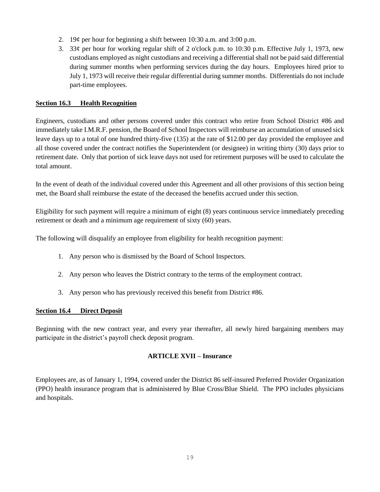- 2. 19¢ per hour for beginning a shift between 10:30 a.m. and 3:00 p.m.
- 3. 33¢ per hour for working regular shift of 2 o'clock p.m. to 10:30 p.m. Effective July 1, 1973, new custodians employed as night custodians and receiving a differential shall not be paid said differential during summer months when performing services during the day hours. Employees hired prior to July 1, 1973 will receive their regular differential during summer months. Differentials do not include part-time employees.

# <span id="page-22-0"></span>**Section 16.3 Health Recognition**

Engineers, custodians and other persons covered under this contract who retire from School District #86 and immediately take I.M.R.F. pension, the Board of School Inspectors will reimburse an accumulation of unused sick leave days up to a total of one hundred thirty-five (135) at the rate of \$12.00 per day provided the employee and all those covered under the contract notifies the Superintendent (or designee) in writing thirty (30) days prior to retirement date. Only that portion of sick leave days not used for retirement purposes will be used to calculate the total amount.

In the event of death of the individual covered under this Agreement and all other provisions of this section being met, the Board shall reimburse the estate of the deceased the benefits accrued under this section.

Eligibility for such payment will require a minimum of eight (8) years continuous service immediately preceding retirement or death and a minimum age requirement of sixty (60) years.

The following will disqualify an employee from eligibility for health recognition payment:

- 1. Any person who is dismissed by the Board of School Inspectors.
- 2. Any person who leaves the District contrary to the terms of the employment contract.
- 3. Any person who has previously received this benefit from District #86.

## <span id="page-22-1"></span>**Section 16.4 Direct Deposit**

Beginning with the new contract year, and every year thereafter, all newly hired bargaining members may participate in the district's payroll check deposit program.

## **ARTICLE XVII – Insurance**

<span id="page-22-2"></span>Employees are, as of January 1, 1994, covered under the District 86 self-insured Preferred Provider Organization (PPO) health insurance program that is administered by Blue Cross/Blue Shield. The PPO includes physicians and hospitals.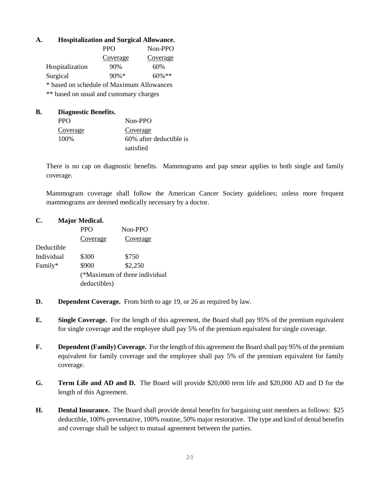# **A. Hospitalization and Surgical Allowance.**

|                                           | <b>PPO</b> | Non-PPO   |  |  |  |  |  |
|-------------------------------------------|------------|-----------|--|--|--|--|--|
|                                           | Coverage   | Coverage  |  |  |  |  |  |
| Hospitalization                           | 90%        | 60%       |  |  |  |  |  |
| Surgical                                  | $90\% *$   | $60\%$ ** |  |  |  |  |  |
| * based on schedule of Maximum Allowances |            |           |  |  |  |  |  |
| ** based on usual and customary charges   |            |           |  |  |  |  |  |

**B. Diagnostic Benefits.** PPO Non-PPO Coverage Coverage 100% 60% after deductible is satisfied

There is no cap on diagnostic benefits. Mammograms and pap smear applies to both single and family coverage.

Mammogram coverage shall follow the American Cancer Society guidelines; unless more frequent mammograms are deemed medically necessary by a doctor.

# **C. Major Medical.**

|            | <b>PPO</b>   | Non-PPO                       |
|------------|--------------|-------------------------------|
|            | Coverage     | Coverage                      |
| Deductible |              |                               |
| Individual | \$300        | \$750                         |
| Family*    | \$900        | \$2,250                       |
|            |              | (*Maximum of three individual |
|            | deductibles) |                               |
|            |              |                               |

- **D. Dependent Coverage.** From birth to age 19, or 26 as required by law.
- **E. Single Coverage.** For the length of this agreement, the Board shall pay 95% of the premium equivalent for single coverage and the employee shall pay 5% of the premium equivalent for single coverage.
- **F. Dependent (Family) Coverage.** For the length of this agreement the Board shall pay 95% of the premium equivalent for family coverage and the employee shall pay 5% of the premium equivalent for family coverage.
- **G. Term Life and AD and D.** The Board will provide \$20,000 term life and \$20,000 AD and D for the length of this Agreement.
- **H. Dental Insurance.** The Board shall provide dental benefits for bargaining unit members as follows: \$25 deductible, 100% preventative, 100% routine, 50% major restorative. The type and kind of dental benefits and coverage shall be subject to mutual agreement between the parties.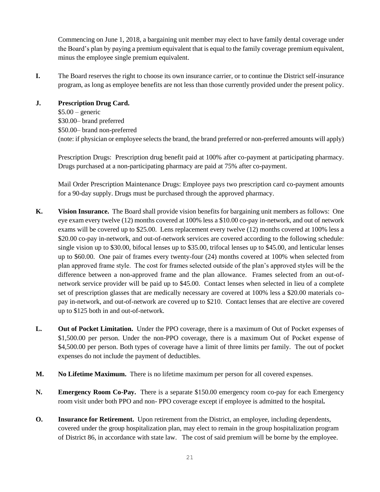Commencing on June 1, 2018, a bargaining unit member may elect to have family dental coverage under the Board's plan by paying a premium equivalent that is equal to the family coverage premium equivalent, minus the employee single premium equivalent.

**I.** The Board reserves the right to choose its own insurance carrier, or to continue the District self-insurance program, as long as employee benefits are not less than those currently provided under the present policy.

**J. Prescription Drug Card.**   $$5.00$  – generic \$30.00– brand preferred \$50.00– brand non-preferred (note: if physician or employee selects the brand, the brand preferred or non-preferred amounts will apply)

Prescription Drugs: Prescription drug benefit paid at 100% after co-payment at participating pharmacy. Drugs purchased at a non-participating pharmacy are paid at 75% after co-payment.

Mail Order Prescription Maintenance Drugs: Employee pays two prescription card co-payment amounts for a 90-day supply. Drugs must be purchased through the approved pharmacy.

- **K. Vision Insurance.** The Board shall provide vision benefits for bargaining unit members as follows: One eye exam every twelve (12) months covered at 100% less a \$10.00 co-pay in-network, and out of network exams will be covered up to \$25.00. Lens replacement every twelve (12) months covered at 100% less a \$20.00 co-pay in-network, and out-of-network services are covered according to the following schedule: single vision up to \$30.00, bifocal lenses up to \$35.00, trifocal lenses up to \$45.00, and lenticular lenses up to \$60.00. One pair of frames every twenty-four (24) months covered at 100% when selected from plan approved frame style. The cost for frames selected outside of the plan's approved styles will be the difference between a non-approved frame and the plan allowance. Frames selected from an out-ofnetwork service provider will be paid up to \$45.00. Contact lenses when selected in lieu of a complete set of prescription glasses that are medically necessary are covered at 100% less a \$20.00 materials copay in-network, and out-of-network are covered up to \$210. Contact lenses that are elective are covered up to \$125 both in and out-of-network.
- **L. Out of Pocket Limitation.** Under the PPO coverage, there is a maximum of Out of Pocket expenses of \$1,500.00 per person. Under the non-PPO coverage, there is a maximum Out of Pocket expense of \$4,500.00 per person. Both types of coverage have a limit of three limits per family. The out of pocket expenses do not include the payment of deductibles.
- **M. No Lifetime Maximum.** There is no lifetime maximum per person for all covered expenses.
- **N. Emergency Room Co-Pay.** There is a separate \$150.00 emergency room co-pay for each Emergency room visit under both PPO and non- PPO coverage except if employee is admitted to the hospital*.*
- **O. Insurance for Retirement.** Upon retirement from the District, an employee, including dependents, covered under the group hospitalization plan, may elect to remain in the group hospitalization program of District 86, in accordance with state law. The cost of said premium will be borne by the employee.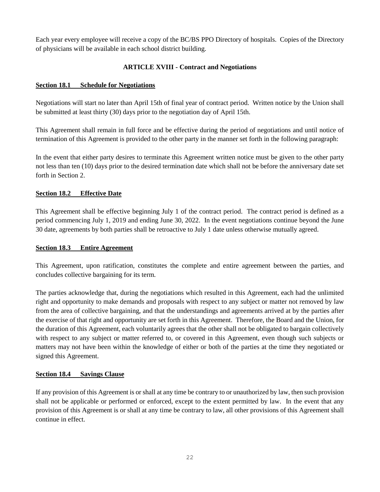Each year every employee will receive a copy of the BC/BS PPO Directory of hospitals. Copies of the Directory of physicians will be available in each school district building.

# **ARTICLE XVIII - Contract and Negotiations**

# <span id="page-25-1"></span><span id="page-25-0"></span>**Section 18.1 Schedule for Negotiations**

Negotiations will start no later than April 15th of final year of contract period. Written notice by the Union shall be submitted at least thirty (30) days prior to the negotiation day of April 15th.

This Agreement shall remain in full force and be effective during the period of negotiations and until notice of termination of this Agreement is provided to the other party in the manner set forth in the following paragraph:

In the event that either party desires to terminate this Agreement written notice must be given to the other party not less than ten (10) days prior to the desired termination date which shall not be before the anniversary date set forth in Section 2.

# <span id="page-25-2"></span>**Section 18.2 Effective Date**

This Agreement shall be effective beginning July 1 of the contract period. The contract period is defined as a period commencing July 1, 2019 and ending June 30, 2022. In the event negotiations continue beyond the June 30 date, agreements by both parties shall be retroactive to July 1 date unless otherwise mutually agreed.

## <span id="page-25-3"></span>**Section 18.3 Entire Agreement**

This Agreement, upon ratification, constitutes the complete and entire agreement between the parties, and concludes collective bargaining for its term.

The parties acknowledge that, during the negotiations which resulted in this Agreement, each had the unlimited right and opportunity to make demands and proposals with respect to any subject or matter not removed by law from the area of collective bargaining, and that the understandings and agreements arrived at by the parties after the exercise of that right and opportunity are set forth in this Agreement. Therefore, the Board and the Union, for the duration of this Agreement, each voluntarily agrees that the other shall not be obligated to bargain collectively with respect to any subject or matter referred to, or covered in this Agreement, even though such subjects or matters may not have been within the knowledge of either or both of the parties at the time they negotiated or signed this Agreement.

# <span id="page-25-4"></span>**Section 18.4 Savings Clause**

If any provision of this Agreement is or shall at any time be contrary to or unauthorized by law, then such provision shall not be applicable or performed or enforced, except to the extent permitted by law. In the event that any provision of this Agreement is or shall at any time be contrary to law, all other provisions of this Agreement shall continue in effect.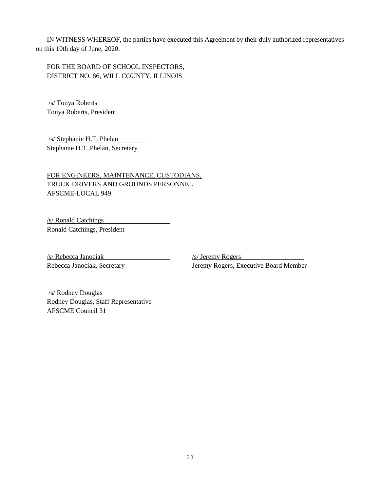IN WITNESS WHEREOF, the parties have executed this Agreement by their duly authorized representatives on this 10th day of June, 2020.

FOR THE BOARD OF SCHOOL INSPECTORS, DISTRICT NO. 86, WILL COUNTY, ILLINOIS

/s/ Tonya Roberts Tonya Roberts, President

/s/ Stephanie H.T. Phelan Stephanie H.T. Phelan, Secretary

FOR ENGINEERS, MAINTENANCE, CUSTODIANS, TRUCK DRIVERS AND GROUNDS PERSONNEL AFSCME-LOCAL 949

/s/ Ronald Catchings

Ronald Catchings, President

/s/ Rebecca Janociak /s/ Jeremy Rogers

Rebecca Janociak, Secretary **Jeremy Rogers, Executive Board Member** 

/s/ Rodney Douglas Rodney Douglas, Staff Representative AFSCME Council 31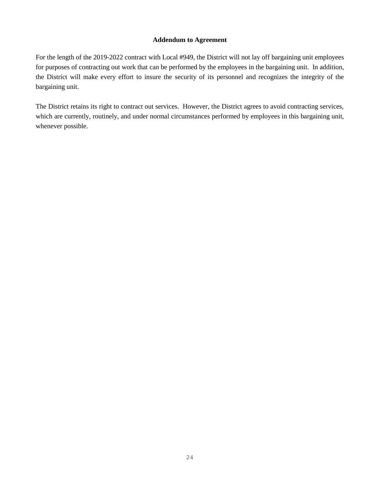# **Addendum to Agreement**

<span id="page-27-0"></span>For the length of the 2019-2022 contract with Local #949, the District will not lay off bargaining unit employees for purposes of contracting out work that can be performed by the employees in the bargaining unit. In addition, the District will make every effort to insure the security of its personnel and recognizes the integrity of the bargaining unit.

The District retains its right to contract out services. However, the District agrees to avoid contracting services, which are currently, routinely, and under normal circumstances performed by employees in this bargaining unit, whenever possible.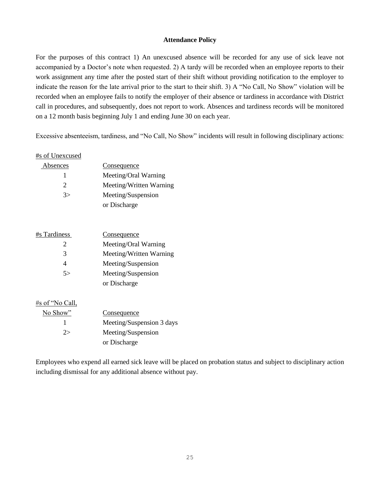#### **Attendance Policy**

<span id="page-28-0"></span>For the purposes of this contract 1) An unexcused absence will be recorded for any use of sick leave not accompanied by a Doctor's note when requested. 2) A tardy will be recorded when an employee reports to their work assignment any time after the posted start of their shift without providing notification to the employer to indicate the reason for the late arrival prior to the start to their shift. 3) A "No Call, No Show" violation will be recorded when an employee fails to notify the employer of their absence or tardiness in accordance with District call in procedures, and subsequently, does not report to work. Absences and tardiness records will be monitored on a 12 month basis beginning July 1 and ending June 30 on each year.

Excessive absenteeism, tardiness, and "No Call, No Show" incidents will result in following disciplinary actions:

# #s of Unexcused

| Absences      | Consequence             |
|---------------|-------------------------|
|               | Meeting/Oral Warning    |
| $\mathcal{D}$ | Meeting/Written Warning |
| 3>            | Meeting/Suspension      |
|               | or Discharge            |

| Meeting/Oral Warning<br>2<br>3<br>Meeting/Suspension<br>Meeting/Suspension<br>5 ><br>or Discharge | #s Tardiness | Consequence             |
|---------------------------------------------------------------------------------------------------|--------------|-------------------------|
|                                                                                                   |              |                         |
|                                                                                                   |              | Meeting/Written Warning |
|                                                                                                   |              |                         |
|                                                                                                   |              |                         |
|                                                                                                   |              |                         |

#### #s of "No Call,

| No Show"       | <u>Consequence</u>        |
|----------------|---------------------------|
|                | Meeting/Suspension 3 days |
| $2\rightarrow$ | Meeting/Suspension        |
|                | or Discharge              |

Employees who expend all earned sick leave will be placed on probation status and subject to disciplinary action including dismissal for any additional absence without pay.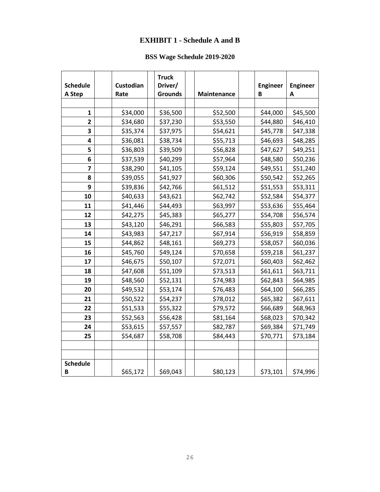# **EXHIBIT 1 - Schedule A and B**

# **BSS Wage Schedule 2019-2020**

<span id="page-29-0"></span>

| <b>Schedule</b><br>A Step | Custodian<br>Rate | <b>Truck</b><br>Driver/<br><b>Grounds</b> | Maintenance | <b>Engineer</b><br>B | <b>Engineer</b><br>A |
|---------------------------|-------------------|-------------------------------------------|-------------|----------------------|----------------------|
|                           |                   |                                           |             |                      |                      |
| 1                         | \$34,000          | \$36,500                                  | \$52,500    | \$44,000             | \$45,500             |
| $\overline{\mathbf{c}}$   | \$34,680          | \$37,230                                  | \$53,550    | \$44,880             | \$46,410             |
| 3                         | \$35,374          | \$37,975                                  | \$54,621    | \$45,778             | \$47,338             |
| 4                         | \$36,081          | \$38,734                                  | \$55,713    | \$46,693             | \$48,285             |
| 5                         | \$36,803          | \$39,509                                  | \$56,828    | \$47,627             | \$49,251             |
| 6                         | \$37,539          | \$40,299                                  | \$57,964    | \$48,580             | \$50,236             |
| 7                         | \$38,290          | \$41,105                                  | \$59,124    | \$49,551             | \$51,240             |
| 8                         | \$39,055          | \$41,927                                  | \$60,306    | \$50,542             | \$52,265             |
| 9                         | \$39,836          | \$42,766                                  | \$61,512    | \$51,553             | \$53,311             |
| 10                        | \$40,633          | \$43,621                                  | \$62,742    | \$52,584             | \$54,377             |
| 11                        | \$41,446          | \$44,493                                  | \$63,997    | \$53,636             | \$55,464             |
| 12                        | \$42,275          | \$45,383                                  | \$65,277    | \$54,708             | \$56,574             |
| 13                        | \$43,120          | \$46,291                                  | \$66,583    | \$55,803             | \$57,705             |
| 14                        | \$43,983          | \$47,217                                  | \$67,914    | \$56,919             | \$58,859             |
| 15                        | \$44,862          | \$48,161                                  | \$69,273    | \$58,057             | \$60,036             |
| 16                        | \$45,760          | \$49,124                                  | \$70,658    | \$59,218             | \$61,237             |
| 17                        | \$46,675          | \$50,107                                  | \$72,071    | \$60,403             | \$62,462             |
| 18                        | \$47,608          | \$51,109                                  | \$73,513    | \$61,611             | \$63,711             |
| 19                        | \$48,560          | \$52,131                                  | \$74,983    | \$62,843             | \$64,985             |
| 20                        | \$49,532          | \$53,174                                  | \$76,483    | \$64,100             | \$66,285             |
| 21                        | \$50,522          | \$54,237                                  | \$78,012    | \$65,382             | \$67,611             |
| 22                        | \$51,533          | \$55,322                                  | \$79,572    | \$66,689             | \$68,963             |
| 23                        | \$52,563          | \$56,428                                  | \$81,164    | \$68,023             | \$70,342             |
| 24                        | \$53,615          | \$57,557                                  | \$82,787    | \$69,384             | \$71,749             |
| 25                        | \$54,687          | \$58,708                                  | \$84,443    | \$70,771             | \$73,184             |
|                           |                   |                                           |             |                      |                      |
|                           |                   |                                           |             |                      |                      |
| <b>Schedule</b><br>B      | \$65,172          | \$69,043                                  | \$80,123    | \$73,101             | \$74,996             |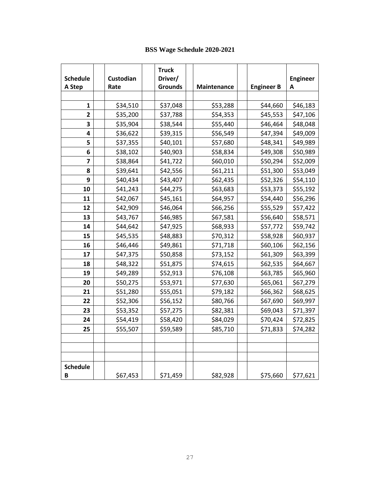| <b>Schedule</b><br>A Step | Custodian<br>Rate | <b>Truck</b><br>Driver/<br><b>Grounds</b> | Maintenance | <b>Engineer B</b> | <b>Engineer</b><br>Α |
|---------------------------|-------------------|-------------------------------------------|-------------|-------------------|----------------------|
|                           |                   |                                           |             |                   |                      |
| 1                         | \$34,510          | \$37,048                                  | \$53,288    | \$44,660          | \$46,183             |
| $\overline{2}$            | \$35,200          | \$37,788                                  | \$54,353    | \$45,553          | \$47,106             |
| 3                         | \$35,904          | \$38,544                                  | \$55,440    | \$46,464          | \$48,048             |
| 4                         | \$36,622          | \$39,315                                  | \$56,549    | \$47,394          | \$49,009             |
| 5                         | \$37,355          | \$40,101                                  | \$57,680    | \$48,341          | \$49,989             |
| 6                         | \$38,102          | \$40,903                                  | \$58,834    | \$49,308          | \$50,989             |
| $\overline{\mathbf{z}}$   | \$38,864          | \$41,722                                  | \$60,010    | \$50,294          | \$52,009             |
| 8                         | \$39,641          | \$42,556                                  | \$61,211    | \$51,300          | \$53,049             |
| 9                         | \$40,434          | \$43,407                                  | \$62,435    | \$52,326          | \$54,110             |
| 10                        | \$41,243          | \$44,275                                  | \$63,683    | \$53,373          | \$55,192             |
| 11                        | \$42,067          | \$45,161                                  | \$64,957    | \$54,440          | \$56,296             |
| 12                        | \$42,909          | \$46,064                                  | \$66,256    | \$55,529          | \$57,422             |
| 13                        | \$43,767          | \$46,985                                  | \$67,581    | \$56,640          | \$58,571             |
| 14                        | \$44,642          | \$47,925                                  | \$68,933    | \$57,772          | \$59,742             |
| 15                        | \$45,535          | \$48,883                                  | \$70,312    | \$58,928          | \$60,937             |
| 16                        | \$46,446          | \$49,861                                  | \$71,718    | \$60,106          | \$62,156             |
| 17                        | \$47,375          | \$50,858                                  | \$73,152    | \$61,309          | \$63,399             |
| 18                        | \$48,322          | \$51,875                                  | \$74,615    | \$62,535          | \$64,667             |
| 19                        | \$49,289          | \$52,913                                  | \$76,108    | \$63,785          | \$65,960             |
| 20                        | \$50,275          | \$53,971                                  | \$77,630    | \$65,061          | \$67,279             |
| 21                        | \$51,280          | \$55,051                                  | \$79,182    | \$66,362          | \$68,625             |
| 22                        | \$52,306          | \$56,152                                  | \$80,766    | \$67,690          | \$69,997             |
| 23                        | \$53,352          | \$57,275                                  | \$82,381    | \$69,043          | \$71,397             |
| 24                        | \$54,419          | \$58,420                                  | \$84,029    | \$70,424          | \$72,825             |
| 25                        | \$55,507          | \$59,589                                  | \$85,710    | \$71,833          | \$74,282             |
|                           |                   |                                           |             |                   |                      |
|                           |                   |                                           |             |                   |                      |
| <b>Schedule</b><br>В      | \$67,453          | \$71,459                                  | \$82,928    | \$75,660          | \$77,621             |

# **BSS Wage Schedule 2020-2021**